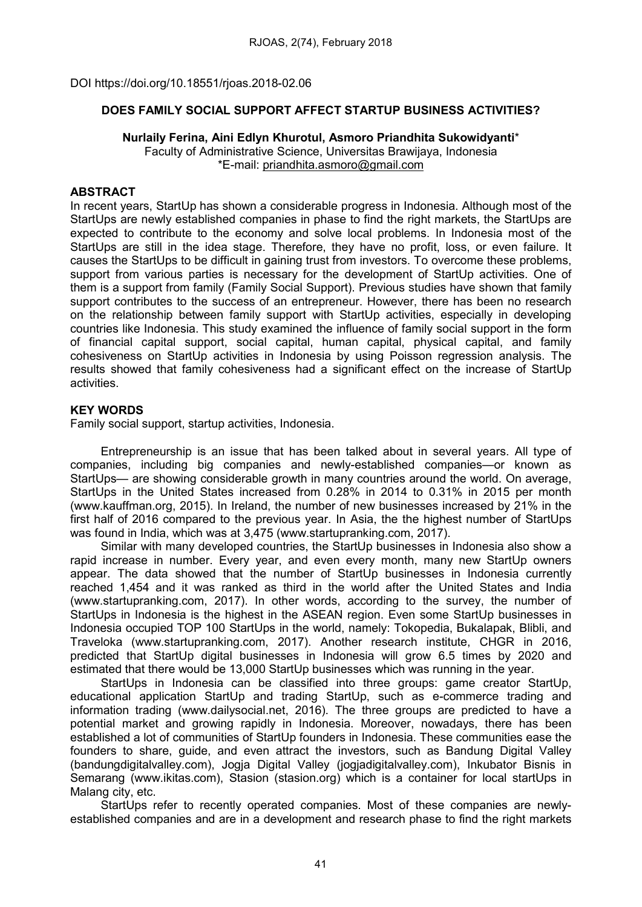DOI https://doi.org/10.18551/rjoas.2018-02.06

# DOES FAMILY SOCIAL SUPPORT AFFECT STARTUP BUSINESS ACTIVITIES?

### Nurlaily Ferina, Aini Edlyn Khurotul, Asmoro Priandhita Sukowidyanti\*

Faculty of Administrative Science, Universitas Brawijaya, Indonesia \*E-mail: [priandhita.asmoro@gmail.com](mailto:priandhita.asmoro@gmail.com)

### ABSTRACT

In recent years, StartUp has shown a considerable progress in Indonesia. Although most of the StartUps are newly established companies in phase to find the right markets, the StartUps are expected to contribute to the economy and solve local problems. In Indonesia most of the StartUps are still in the idea stage. Therefore, they have no profit, loss, or even failure. It causes the StartUps to be difficult in gaining trust from investors. To overcome these problems, support from various parties is necessary for the development of StartUp activities. One of them is a support from family (Family Social Support). Previous studies have shown that family support contributes to the success of an entrepreneur. However, there has been no research on the relationship between family support with StartUp activities, especially in developing countries like Indonesia. This study examined the influence of family social support in the form of financial capital support, social capital, human capital, physical capital, and family cohesiveness on StartUp activities in Indonesia by using Poisson regression analysis. The results showed that family cohesiveness had a significant effect on the increase of StartUp activities.

# KEY WORDS

Family social support, startup activities, Indonesia.

Entrepreneurship is an issue that has been talked about in several years. All type of companies, including big companies and newly-established companies—or known as StartUps— are showing considerable growth in many countries around the world. On average, StartUps in the United States increased from 0.28% in 2014 to 0.31% in 2015 per month (www.kauffman.org, 2015). In Ireland, the number of new businesses increased by 21% in the first half of 2016 compared to the previous year. In Asia, the the highest number of StartUps was found in India, which was at 3,475 (www.startupranking.com, 2017).

Similar with many developed countries, the StartUp businesses in Indonesia also show a rapid increase in number. Every year, and even every month, many new StartUp owners appear. The data showed that the number of StartUp businesses in Indonesia currently reached 1,454 and it was ranked as third in the world after the United States and India (www.startupranking.com, 2017). In other words, according to the survey, the number of StartUps in Indonesia is the highest in the ASEAN region. Even some StartUp businesses in Indonesia occupied TOP 100 StartUps in the world, namely: Tokopedia, Bukalapak, Blibli, and Traveloka (www.startupranking.com, 2017). Another research institute, CHGR in 2016, predicted that StartUp digital businesses in Indonesia will grow 6.5 times by 2020 and estimated that there would be 13,000 StartUp businesses which was running in the year.

StartUps in Indonesia can be classified into three groups: game creator StartUp, educational application StartUp and trading StartUp, such as e-commerce trading and information trading (www.dailysocial.net, 2016). The three groups are predicted to have a potential market and growing rapidly in Indonesia. Moreover, nowadays, there has been established a lot of communities of StartUp founders in Indonesia. These communities ease the founders to share, guide, and even attract the investors, such as Bandung Digital Valley (bandungdigitalvalley.com), Jogja Digital Valley (jogjadigitalvalley.com), Inkubator Bisnis in Semarang (www.ikitas.com), Stasion (stasion.org) which is a container for local startUps in Malang city, etc.

StartUps refer to recently operated companies. Most of these companies are newlyestablished companies and are in a development and research phase to find the right markets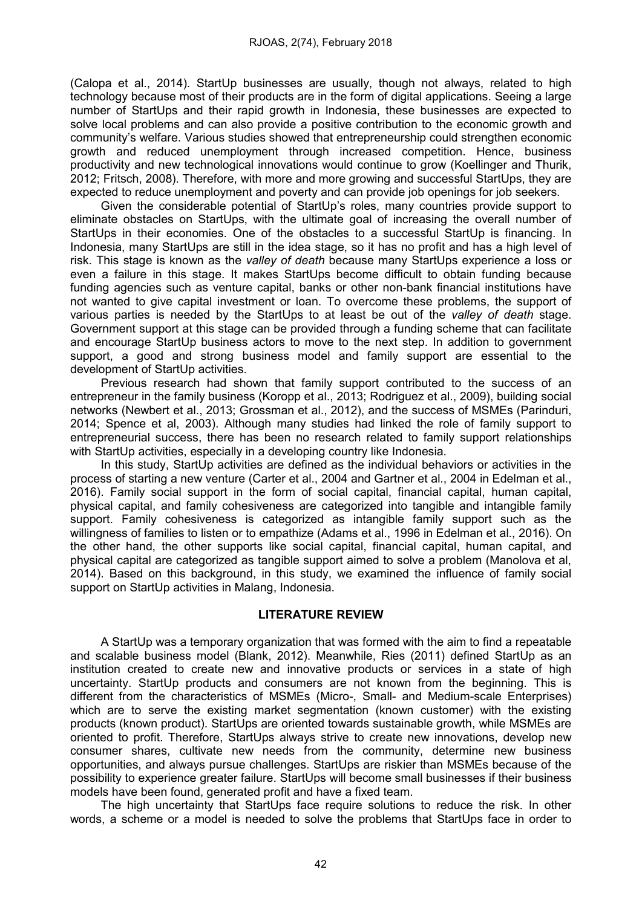(Calopa et al., 2014). StartUp businesses are usually, though not always, related to high technology because most of their products are in the form of digital applications. Seeing a large number of StartUps and their rapid growth in Indonesia, these businesses are expected to solve local problems and can also provide a positive contribution to the economic growth and community's welfare. Various studies showed that entrepreneurship could strengthen economic growth and reduced unemployment through increased competition. Hence, business productivity and new technological innovations would continue to grow (Koellinger and Thurik, 2012; Fritsch, 2008). Therefore, with more and more growing and successful StartUps, they are expected to reduce unemployment and poverty and can provide job openings for job seekers.

Given the considerable potential of StartUp's roles, many countries provide support to eliminate obstacles on StartUps, with the ultimate goal of increasing the overall number of StartUps in their economies. One of the obstacles to a successful StartUp is financing. In Indonesia, many StartUps are still in the idea stage, so it has no profit and has a high level of risk. This stage is known as the valley of death because many StartUps experience a loss or even a failure in this stage. It makes StartUps become difficult to obtain funding because funding agencies such as venture capital, banks or other non-bank financial institutions have not wanted to give capital investment or loan. To overcome these problems, the support of various parties is needed by the StartUps to at least be out of the valley of death stage. Government support at this stage can be provided through a funding scheme that can facilitate and encourage StartUp business actors to move to the next step. In addition to government support, a good and strong business model and family support are essential to the development of StartUp activities.

Previous research had shown that family support contributed to the success of an entrepreneur in the family business (Koropp et al., 2013; Rodriguez et al., 2009), building social networks (Newbert et al., 2013; Grossman et al., 2012), and the success of MSMEs (Parinduri, 2014; Spence et al, 2003). Although many studies had linked the role of family support to entrepreneurial success, there has been no research related to family support relationships with StartUp activities, especially in a developing country like Indonesia.

In this study, StartUp activities are defined as the individual behaviors or activities in the process of starting a new venture (Carter et al., 2004 and Gartner et al., 2004 in Edelman et al., 2016). Family social support in the form of social capital, financial capital, human capital, physical capital, and family cohesiveness are categorized into tangible and intangible family support. Family cohesiveness is categorized as intangible family support such as the willingness of families to listen or to empathize (Adams et al., 1996 in Edelman et al., 2016). On the other hand, the other supports like social capital, financial capital, human capital, and physical capital are categorized as tangible support aimed to solve a problem (Manolova et al, 2014). Based on this background, in this study, we examined the influence of family social support on StartUp activities in Malang, Indonesia.

### LITERATURE REVIEW

A StartUp was a temporary organization that was formed with the aim to find a repeatable and scalable business model (Blank, 2012). Meanwhile, Ries (2011) defined StartUp as an institution created to create new and innovative products or services in a state of high uncertainty. StartUp products and consumers are not known from the beginning. This is different from the characteristics of MSMEs (Micro-, Small- and Medium-scale Enterprises) which are to serve the existing market segmentation (known customer) with the existing products (known product). StartUps are oriented towards sustainable growth, while MSMEs are oriented to profit. Therefore, StartUps always strive to create new innovations, develop new consumer shares, cultivate new needs from the community, determine new business opportunities, and always pursue challenges. StartUps are riskier than MSMEs because of the possibility to experience greater failure. StartUps will become small businesses if their business models have been found, generated profit and have a fixed team.

The high uncertainty that StartUps face require solutions to reduce the risk. In other words, a scheme or a model is needed to solve the problems that StartUps face in order to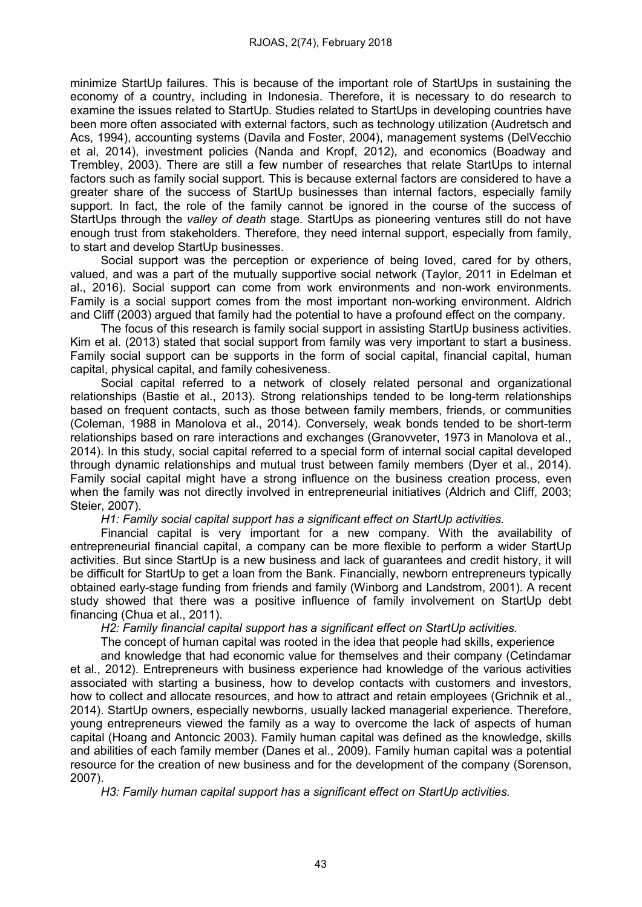minimize StartUp failures. This is because of the important role of StartUps in sustaining the economy of a country, including in Indonesia. Therefore, it is necessary to do research to examine the issues related to StartUp. Studies related to StartUps in developing countries have been more often associated with external factors, such as technology utilization (Audretsch and Acs, 1994), accounting systems (Davila and Foster, 2004), management systems (DelVecchio et al, 2014), investment policies (Nanda and Kropf, 2012), and economics (Boadway and Trembley, 2003). There are still a few number of researches that relate StartUps to internal factors such as family social support. This is because external factors are considered to have a greater share of the success of StartUp businesses than internal factors, especially family support. In fact, the role of the family cannot be ignored in the course of the success of StartUps through the *valley of death* stage. StartUps as pioneering ventures still do not have enough trust from stakeholders. Therefore, they need internal support, especially from family, to start and develop StartUp businesses.

Social support was the perception or experience of being loved, cared for by others, valued, and was a part of the mutually supportive social network (Taylor, 2011 in Edelman et al., 2016). Social support can come from work environments and non-work environments. Family is a social support comes from the most important non-working environment. Aldrich and Cliff (2003) argued that family had the potential to have a profound effect on the company.

The focus of this research is family social support in assisting StartUp business activities. Kim et al. (2013) stated that social support from family was very important to start a business. Family social support can be supports in the form of social capital, financial capital, human capital, physical capital, and family cohesiveness.

Social capital referred to a network of closely related personal and organizational relationships (Bastie et al., 2013). Strong relationships tended to be long-term relationships based on frequent contacts, such as those between family members, friends, or communities (Coleman, 1988 in Manolova et al., 2014). Conversely, weak bonds tended to be short-term relationships based on rare interactions and exchanges (Granovveter, 1973 in Manolova et al., 2014). In this study, social capital referred to a special form of internal social capital developed through dynamic relationships and mutual trust between family members (Dyer et al., 2014). Family social capital might have a strong influence on the business creation process, even when the family was not directly involved in entrepreneurial initiatives (Aldrich and Cliff, 2003; Steier, 2007).

H1: Family social capital support has a significant effect on StartUp activities.

Financial capital is very important for a new company. With the availability of entrepreneurial financial capital, a company can be more flexible to perform a wider StartUp activities. But since StartUp is a new business and lack of guarantees and credit history, it will be difficult for StartUp to get a loan from the Bank. Financially, newborn entrepreneurs typically obtained early-stage funding from friends and family (Winborg and Landstrom, 2001). A recent study showed that there was a positive influence of family involvement on StartUp debt financing (Chua et al., 2011).

H2: Family financial capital support has a significant effect on StartUp activities.

The concept of human capital was rooted in the idea that people had skills, experience

and knowledge that had economic value for themselves and their company (Cetindamar et al., 2012). Entrepreneurs with business experience had knowledge of the various activities associated with starting a business, how to develop contacts with customers and investors, how to collect and allocate resources, and how to attract and retain employees (Grichnik et al., 2014). StartUp owners, especially newborns, usually lacked managerial experience. Therefore, young entrepreneurs viewed the family as a way to overcome the lack of aspects of human capital (Hoang and Antoncic 2003). Family human capital was defined as the knowledge, skills and abilities of each family member (Danes et al., 2009). Family human capital was a potential resource for the creation of new business and for the development of the company (Sorenson, 2007).

H3: Family human capital support has a significant effect on StartUp activities.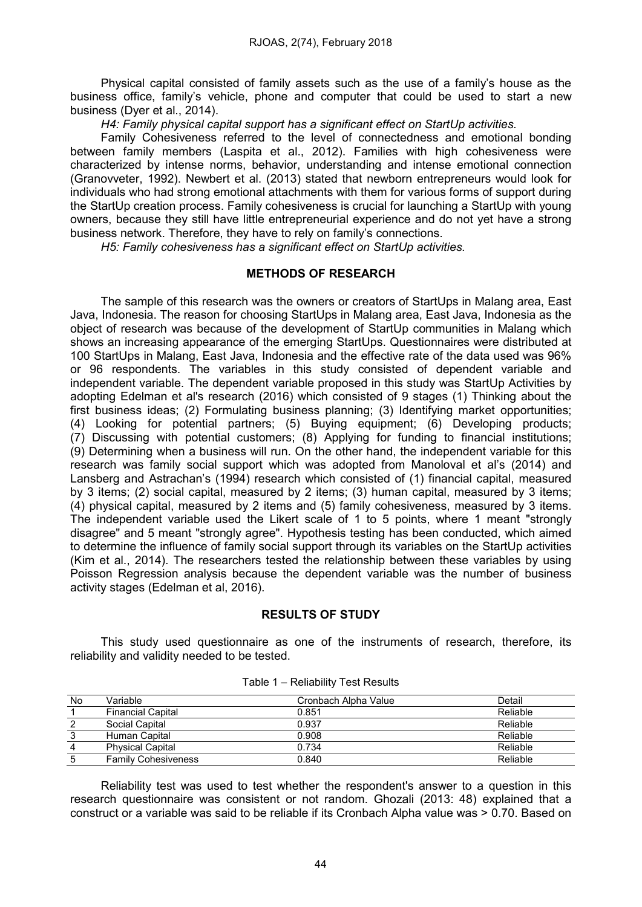Physical capital consisted of family assets such as the use of a family's house as the business office, family's vehicle, phone and computer that could be used to start a new business (Dyer et al., 2014).

H4: Family physical capital support has a significant effect on StartUp activities.

Family Cohesiveness referred to the level of connectedness and emotional bonding between family members (Laspita et al., 2012). Families with high cohesiveness were characterized by intense norms, behavior, understanding and intense emotional connection (Granovveter, 1992). Newbert et al. (2013) stated that newborn entrepreneurs would look for individuals who had strong emotional attachments with them for various forms of support during the StartUp creation process. Family cohesiveness is crucial for launching a StartUp with young owners, because they still have little entrepreneurial experience and do not yet have a strong business network. Therefore, they have to rely on family's connections.

H5: Family cohesiveness has a significant effect on StartUp activities.

# METHODS OF RESEARCH

The sample of this research was the owners or creators of StartUps in Malang area, East Java, Indonesia. The reason for choosing StartUps in Malang area, East Java, Indonesia as the object of research was because of the development of StartUp communities in Malang which shows an increasing appearance of the emerging StartUps. Questionnaires were distributed at 100 StartUps in Malang, East Java, Indonesia and the effective rate of the data used was 96% or 96 respondents. The variables in this study consisted of dependent variable and independent variable. The dependent variable proposed in this study was StartUp Activities by adopting Edelman et al's research (2016) which consisted of 9 stages (1) Thinking about the first business ideas; (2) Formulating business planning; (3) Identifying market opportunities; (4) Looking for potential partners; (5) Buying equipment; (6) Developing products; (7) Discussing with potential customers; (8) Applying for funding to financial institutions; (9) Determining when a business will run. On the other hand, the independent variable for this research was family social support which was adopted from Manoloval et al's (2014) and Lansberg and Astrachan's (1994) research which consisted of (1) financial capital, measured by 3 items; (2) social capital, measured by 2 items; (3) human capital, measured by 3 items; (4) physical capital, measured by 2 items and (5) family cohesiveness, measured by 3 items. The independent variable used the Likert scale of 1 to 5 points, where 1 meant "strongly disagree" and 5 meant "strongly agree". Hypothesis testing has been conducted, which aimed to determine the influence of family social support through its variables on the StartUp activities (Kim et al., 2014). The researchers tested the relationship between these variables by using Poisson Regression analysis because the dependent variable was the number of business activity stages (Edelman et al, 2016).

# RESULTS OF STUDY

This study used questionnaire as one of the instruments of research, therefore, its reliability and validity needed to be tested.

| No | Variable                   | Cronbach Alpha Value | Detail   |
|----|----------------------------|----------------------|----------|
|    | <b>Financial Capital</b>   | 0.851                | Reliable |
|    | Social Capital             | 0.937                | Reliable |
|    | Human Capital              | 0.908                | Reliable |
| 4  | <b>Physical Capital</b>    | 0.734                | Reliable |
|    | <b>Family Cohesiveness</b> | 0.840                | Reliable |

Reliability test was used to test whether the respondent's answer to a question in this research questionnaire was consistent or not random. Ghozali (2013: 48) explained that a construct or a variable was said to be reliable if its Cronbach Alpha value was > 0.70. Based on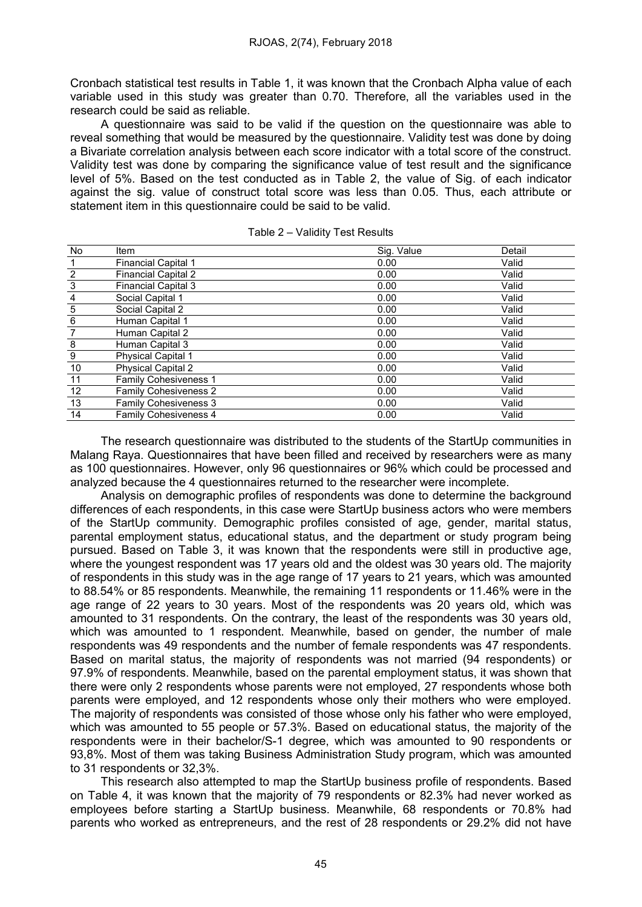Cronbach statistical test results in Table 1, it was known that the Cronbach Alpha value of each variable used in this study was greater than 0.70. Therefore, all the variables used in the research could be said as reliable.

A questionnaire was said to be valid if the question on the questionnaire was able to reveal something that would be measured by the questionnaire. Validity test was done by doing a Bivariate correlation analysis between each score indicator with a total score of the construct. Validity test was done by comparing the significance value of test result and the significance level of 5%. Based on the test conducted as in Table 2, the value of Sig. of each indicator against the sig. value of construct total score was less than 0.05. Thus, each attribute or statement item in this questionnaire could be said to be valid.

| <b>No</b>      | Item                         | Sig. Value | Detail |
|----------------|------------------------------|------------|--------|
|                | <b>Financial Capital 1</b>   | 0.00       | Valid  |
| $\overline{2}$ | <b>Financial Capital 2</b>   | 0.00       | Valid  |
| $\sqrt{3}$     | <b>Financial Capital 3</b>   | 0.00       | Valid  |
| 4              | Social Capital 1             | 0.00       | Valid  |
| $\sqrt{5}$     | Social Capital 2             | 0.00       | Valid  |
| $\,6$          | Human Capital 1              | 0.00       | Valid  |
|                | Human Capital 2              | 0.00       | Valid  |
| 8              | Human Capital 3              | 0.00       | Valid  |
| 9              | <b>Physical Capital 1</b>    | 0.00       | Valid  |
| 10             | <b>Physical Capital 2</b>    | 0.00       | Valid  |
| 11             | <b>Family Cohesiveness 1</b> | 0.00       | Valid  |
| 12             | <b>Family Cohesiveness 2</b> | 0.00       | Valid  |
| 13             | <b>Family Cohesiveness 3</b> | 0.00       | Valid  |
| 14             | <b>Family Cohesiveness 4</b> | 0.00       | Valid  |

| Table 2 - Validity Test Results |  |  |  |
|---------------------------------|--|--|--|
|---------------------------------|--|--|--|

The research questionnaire was distributed to the students of the StartUp communities in Malang Raya. Questionnaires that have been filled and received by researchers were as many as 100 questionnaires. However, only 96 questionnaires or 96% which could be processed and analyzed because the 4 questionnaires returned to the researcher were incomplete.

Analysis on demographic profiles of respondents was done to determine the background differences of each respondents, in this case were StartUp business actors who were members of the StartUp community. Demographic profiles consisted of age, gender, marital status, parental employment status, educational status, and the department or study program being pursued. Based on Table 3, it was known that the respondents were still in productive age, where the youngest respondent was 17 years old and the oldest was 30 years old. The majority of respondents in this study was in the age range of 17 years to 21 years, which was amounted to 88.54% or 85 respondents. Meanwhile, the remaining 11 respondents or 11.46% were in the age range of 22 years to 30 years. Most of the respondents was 20 years old, which was amounted to 31 respondents. On the contrary, the least of the respondents was 30 years old, which was amounted to 1 respondent. Meanwhile, based on gender, the number of male respondents was 49 respondents and the number of female respondents was 47 respondents. Based on marital status, the majority of respondents was not married (94 respondents) or 97.9% of respondents. Meanwhile, based on the parental employment status, it was shown that there were only 2 respondents whose parents were not employed, 27 respondents whose both parents were employed, and 12 respondents whose only their mothers who were employed. The majority of respondents was consisted of those whose only his father who were employed, which was amounted to 55 people or 57.3%. Based on educational status, the majority of the respondents were in their bachelor/S-1 degree, which was amounted to 90 respondents or 93,8%. Most of them was taking Business Administration Study program, which was amounted to 31 respondents or 32,3%.

This research also attempted to map the StartUp business profile of respondents. Based on Table 4, it was known that the majority of 79 respondents or 82.3% had never worked as employees before starting a StartUp business. Meanwhile, 68 respondents or 70.8% had parents who worked as entrepreneurs, and the rest of 28 respondents or 29.2% did not have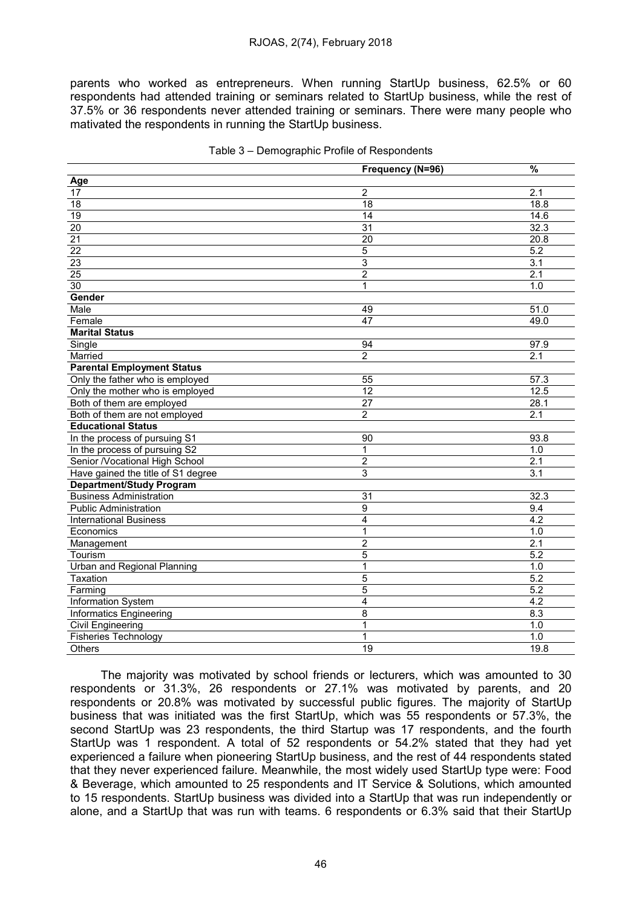parents who worked as entrepreneurs. When running StartUp business, 62.5% or 60 respondents had attended training or seminars related to StartUp business, while the rest of 37.5% or 36 respondents never attended training or seminars. There were many people who mativated the respondents in running the StartUp business.

|                                    | Frequency (N=96)        | $\frac{9}{6}$     |
|------------------------------------|-------------------------|-------------------|
| Age                                |                         |                   |
| 17                                 | $\overline{2}$          | 2.1               |
| 18                                 | 18                      | 18.8              |
| $\overline{19}$                    | 14                      | 14.6              |
| $\overline{20}$                    | 31                      | 32.3              |
| $\overline{21}$                    | $\overline{20}$         | 20.8              |
| $\overline{22}$                    | 5                       | $\overline{5.2}$  |
| 23                                 | $\overline{3}$          | $\overline{3.1}$  |
| $\overline{25}$                    | $\overline{2}$          | 2.1               |
| $\overline{30}$                    | $\mathbf{1}$            | 1.0               |
| Gender                             |                         |                   |
| Male                               | 49                      | 51.0              |
| Female                             | 47                      | 49.0              |
| <b>Marital Status</b>              |                         |                   |
| Single                             | 94                      | 97.9              |
| Married                            | 2                       | 2.1               |
| <b>Parental Employment Status</b>  |                         |                   |
| Only the father who is employed    | 55                      | $\overline{57.3}$ |
| Only the mother who is employed    | 12                      | 12.5              |
| Both of them are employed          | 27                      | 28.1              |
| Both of them are not employed      | $\overline{2}$          | 2.1               |
| <b>Educational Status</b>          |                         |                   |
| In the process of pursuing S1      | 90                      | 93.8              |
| In the process of pursuing S2      | 1                       | 1.0               |
| Senior /Vocational High School     | $\mathbf 2$             | 2.1               |
| Have gained the title of S1 degree | 3                       | $\overline{3.1}$  |
| <b>Department/Study Program</b>    |                         |                   |
| <b>Business Administration</b>     | 31                      | 32.3              |
| <b>Public Administration</b>       | 9                       | 9.4               |
| <b>International Business</b>      | $\overline{\mathbf{4}}$ | 4.2               |
| Economics                          | 1                       | 1.0               |
| Management                         | $\overline{2}$          | $\overline{2.1}$  |
| Tourism                            | 5                       | 5.2               |
| Urban and Regional Planning        | 1                       | 1.0               |
| Taxation                           | 5                       | 5.2               |
| Farming                            | 5                       | $\overline{5.2}$  |
| Information System                 | $\overline{4}$          | 4.2               |
| <b>Informatics Engineering</b>     | 8                       | 8.3               |
| <b>Civil Engineering</b>           | 1                       | 1.0               |
| <b>Fisheries Technology</b>        | 1                       | 1.0               |
| Others                             | $\overline{19}$         | 19.8              |

The majority was motivated by school friends or lecturers, which was amounted to 30 respondents or 31.3%, 26 respondents or 27.1% was motivated by parents, and 20 respondents or 20.8% was motivated by successful public figures. The majority of StartUp business that was initiated was the first StartUp, which was 55 respondents or 57.3%, the second StartUp was 23 respondents, the third Startup was 17 respondents, and the fourth StartUp was 1 respondent. A total of 52 respondents or 54.2% stated that they had yet experienced a failure when pioneering StartUp business, and the rest of 44 respondents stated that they never experienced failure. Meanwhile, the most widely used StartUp type were: Food & Beverage, which amounted to 25 respondents and IT Service & Solutions, which amounted to 15 respondents. StartUp business was divided into a StartUp that was run independently or alone, and a StartUp that was run with teams. 6 respondents or 6.3% said that their StartUp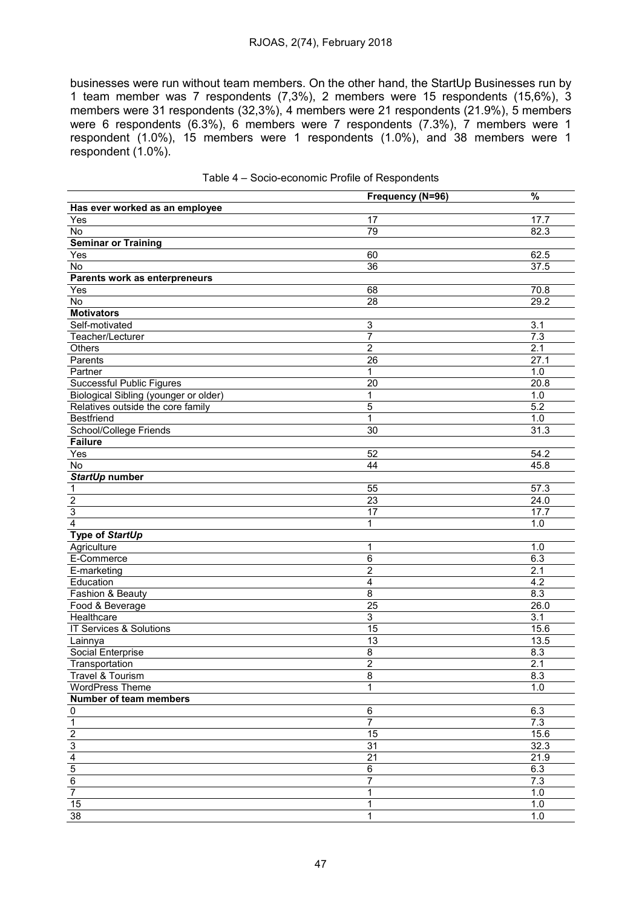### RJOAS, 2(74), February 2018

businesses were run without team members. On the other hand, the StartUp Businesses run by 1 team member was 7 respondents (7,3%), 2 members were 15 respondents (15,6%), 3 members were 31 respondents (32,3%), 4 members were 21 respondents (21.9%), 5 members were 6 respondents (6.3%), 6 members were 7 respondents (7.3%), 7 members were 1 respondent (1.0%), 15 members were 1 respondents (1.0%), and 38 members were 1 respondent (1.0%).

|                                                                       | Frequency (N=96)          | $\%$             |
|-----------------------------------------------------------------------|---------------------------|------------------|
| Has ever worked as an employee                                        |                           |                  |
| Yes                                                                   | 17                        | 17.7             |
| No                                                                    | 79                        | 82.3             |
| <b>Seminar or Training</b>                                            |                           |                  |
| $\overline{Y}$ es                                                     | 60                        | 62.5             |
| No                                                                    | $\overline{36}$           | 37.5             |
| Parents work as enterpreneurs                                         |                           |                  |
| Yes                                                                   | 68                        | 70.8             |
| No                                                                    | 28                        | 29.2             |
| <b>Motivators</b>                                                     |                           |                  |
| Self-motivated                                                        | $\ensuremath{\mathsf{3}}$ | $\overline{3.1}$ |
| Teacher/Lecturer                                                      | $\overline{7}$            | 7.3              |
| Others                                                                | $\overline{2}$            | 2.1              |
| Parents                                                               | $\overline{26}$           | 27.1             |
| Partner                                                               | 1                         | 1.0              |
| Successful Public Figures                                             | $\overline{20}$           | 20.8             |
| Biological Sibling (younger or older)                                 | 1                         | 1.0              |
| Relatives outside the core family                                     | 5                         | 5.2              |
| <b>Bestfriend</b>                                                     | 1                         | $1.0$            |
| <b>School/College Friends</b>                                         | $\overline{30}$           | 31.3             |
| <b>Failure</b>                                                        |                           |                  |
| Yes                                                                   | 52                        | 54.2             |
| No                                                                    | 44                        | 45.8             |
| StartUp number                                                        |                           |                  |
|                                                                       | 55                        | 57.3             |
|                                                                       | $\overline{23}$           | 24.0             |
| $\frac{1}{2}$                                                         | 17                        | 17.7             |
| $\overline{4}$                                                        | 1                         | 1.0              |
| Type of StartUp                                                       |                           |                  |
| Agriculture                                                           | 1                         | 1.0              |
| E-Commerce                                                            | 6                         | 6.3              |
| E-marketing                                                           | 2                         | 2.1              |
| Education                                                             | 4                         | 4.2              |
| Fashion & Beauty                                                      | 8                         | 8.3              |
| Food & Beverage                                                       | $\overline{25}$           | 26.0             |
| Healthcare                                                            | $\overline{3}$            | 3.1              |
| IT Services & Solutions                                               | $\overline{15}$           | 15.6             |
| Lainnya                                                               | 13                        | 13.5             |
| <b>Social Enterprise</b>                                              | 8                         | 8.3              |
| Transportation                                                        | 2                         | 2.1              |
| <b>Travel &amp; Tourism</b>                                           | $\overline{8}$            | 8.3              |
| WordPress Theme                                                       | 1                         | 1.0              |
| Number of team members                                                |                           |                  |
|                                                                       | 6                         | 6.3              |
|                                                                       | $\overline{7}$            | 7.3              |
| $\frac{0}{1}$ $\frac{1}{2}$ $\frac{3}{4}$ $\frac{4}{5}$ $\frac{6}{7}$ | $\overline{15}$           | 15.6             |
|                                                                       | 31                        | 32.3             |
|                                                                       | $\overline{21}$           | 21.9             |
|                                                                       | 6                         | 6.3              |
|                                                                       | $\overline{7}$            | 7.3              |
|                                                                       | 1                         | 1.0              |
| 15                                                                    | 1                         | 1.0              |
| $\overline{38}$                                                       | 1                         | 1.0              |

|  | Table 4 - Socio-economic Profile of Respondents |  |  |
|--|-------------------------------------------------|--|--|
|--|-------------------------------------------------|--|--|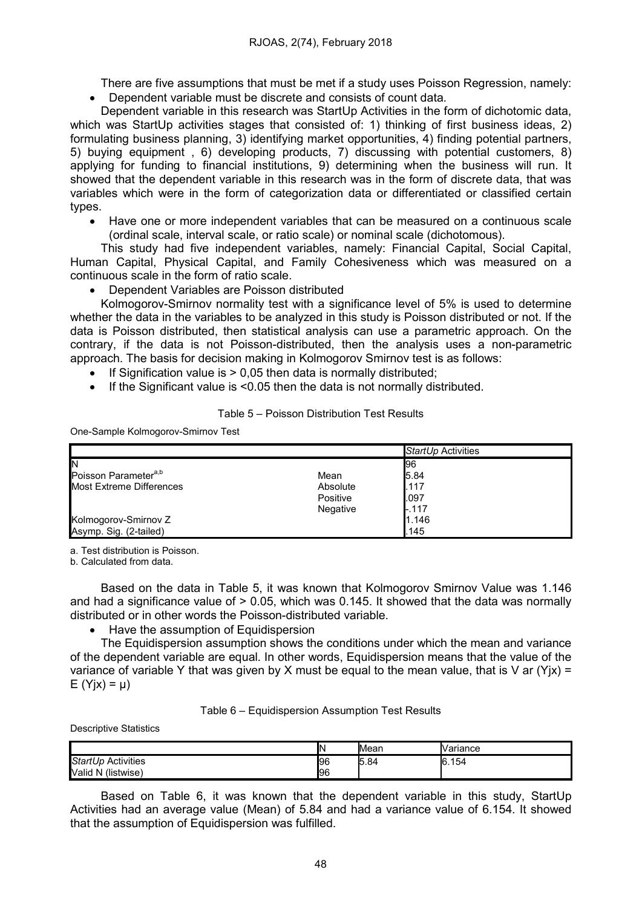There are five assumptions that must be met if a study uses Poisson Regression, namely: Dependent variable must be discrete and consists of count data.

Dependent variable in this research was StartUp Activities in the form of dichotomic data, which was StartUp activities stages that consisted of: 1) thinking of first business ideas, 2) formulating business planning, 3) identifying market opportunities, 4) finding potential partners, 5) buying equipment , 6) developing products, 7) discussing with potential customers, 8) applying for funding to financial institutions, 9) determining when the business will run. It showed that the dependent variable in this research was in the form of discrete data, that was variables which were in the form of categorization data or differentiated or classified certain types.

 Have one or more independent variables that can be measured on a continuous scale (ordinal scale, interval scale, or ratio scale) or nominal scale (dichotomous).

This study had five independent variables, namely: Financial Capital, Social Capital, Human Capital, Physical Capital, and Family Cohesiveness which was measured on a continuous scale in the form of ratio scale.

Dependent Variables are Poisson distributed

Kolmogorov-Smirnov normality test with a significance level of 5% is used to determine whether the data in the variables to be analyzed in this study is Poisson distributed or not. If the data is Poisson distributed, then statistical analysis can use a parametric approach. On the contrary, if the data is not Poisson-distributed, then the analysis uses a non-parametric approach. The basis for decision making in Kolmogorov Smirnov test is as follows:

- If Signification value is  $> 0.05$  then data is normally distributed:
- If the Significant value is  $\leq 0.05$  then the data is not normally distributed.

Table 5 – Poisson Distribution Test Results

One-Sample Kolmogorov-Smirnov Test

|                                  |          | StartUp Activities |
|----------------------------------|----------|--------------------|
| IN                               |          | 96                 |
| Poisson Parameter <sup>a,b</sup> | Mean     | 5.84               |
| Most Extreme Differences         | Absolute | .117               |
|                                  | Positive | .097               |
|                                  | Negative | $-.117$            |
| Kolmogorov-Smirnov Z             |          | 1.146              |
| Asymp. Sig. (2-tailed)           |          | .145               |

a. Test distribution is Poisson.

b. Calculated from data.

Based on the data in Table 5, it was known that Kolmogorov Smirnov Value was 1.146 and had a significance value of  $> 0.05$ , which was 0.145. It showed that the data was normally distributed or in other words the Poisson-distributed variable.

• Have the assumption of Equidispersion

The Equidispersion assumption shows the conditions under which the mean and variance of the dependent variable are equal. In other words, Equidispersion means that the value of the variance of variable Y that was given by X must be equal to the mean value, that is V ar (Yix) =  $E(Y|x) = \mu$ 

Table 6 – Equidispersion Assumption Test Results

Descriptive Statistics

|                                 | IN. | <b>I</b> Mean | Variance    |
|---------------------------------|-----|---------------|-------------|
| StartUp Activities              | 196 | -<br>5.84     | 154<br>16.1 |
| (listwise)<br><b>Valid</b><br>N | 96  |               |             |

Based on Table 6, it was known that the dependent variable in this study, StartUp Activities had an average value (Mean) of 5.84 and had a variance value of 6.154. It showed that the assumption of Equidispersion was fulfilled.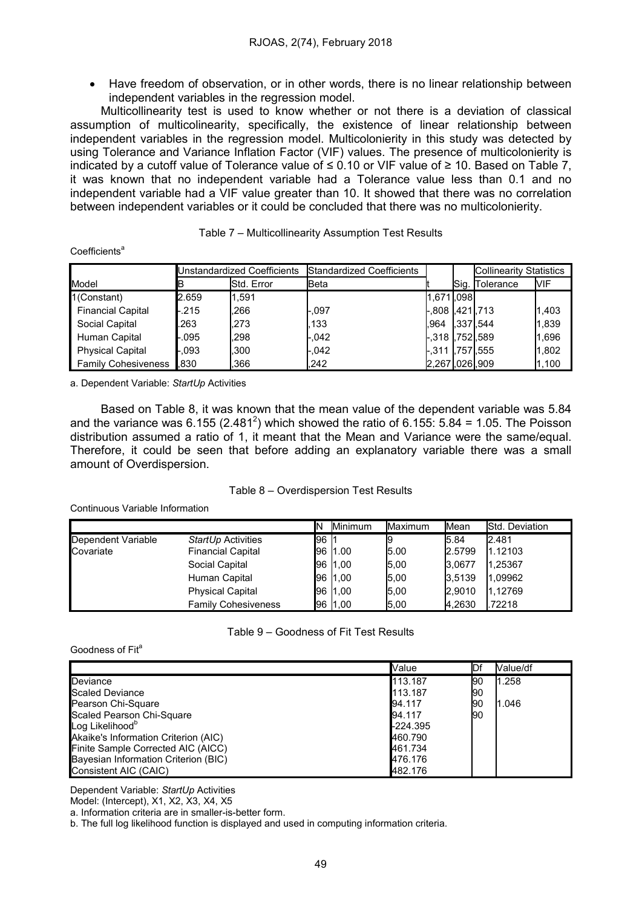Have freedom of observation, or in other words, there is no linear relationship between independent variables in the regression model.

Multicollinearity test is used to know whether or not there is a deviation of classical assumption of multicolinearity, specifically, the existence of linear relationship between independent variables in the regression model. Multicolonierity in this study was detected by using Tolerance and Variance Inflation Factor (VIF) values. The presence of multicolonierity is indicated by a cutoff value of Tolerance value of ≤ 0.10 or VIF value of ≥ 10. Based on Table 7. it was known that no independent variable had a Tolerance value less than 0.1 and no independent variable had a VIF value greater than 10. It showed that there was no correlation between independent variables or it could be concluded that there was no multicolonierity.

|                            | Unstandardized Coefficients |            | Standardized Coefficients |                  |          | <b>Collinearity Statistics</b> |       |
|----------------------------|-----------------------------|------------|---------------------------|------------------|----------|--------------------------------|-------|
| Model                      |                             | Std. Error | Beta                      |                  | Sig.     | Tolerance                      | MIF   |
| 1(Constant)                | 2.659                       | 1,591      |                           | 1.671.098        |          |                                |       |
| <b>Financial Capital</b>   | $-.215$                     | .266       | -.097                     | -.808 I.421I.713 |          |                                | 1,403 |
| Social Capital             | .263                        | .273       | .133                      | .964             | .337.544 |                                | 1,839 |
| Human Capital              | -.095                       | .298       | -.042                     | -,318 ,752,589   |          |                                | 1,696 |
| <b>Physical Capital</b>    | $-0.093$                    | .300       | -.042                     | -.311 l.757l.555 |          |                                | 1,802 |
| <b>Family Cohesiveness</b> | .830                        | .366       | .242                      | 2,267,026,909    |          |                                | 1,100 |

| Table 7 - Multicollinearity Assumption Test Results |  |
|-----------------------------------------------------|--|
|                                                     |  |

a. Dependent Variable: StartUp Activities

Coefficients<sup>a</sup>

Based on Table 8, it was known that the mean value of the dependent variable was 5.84 and the variance was 6.155 (2.481<sup>2</sup>) which showed the ratio of 6.155: 5.84 = 1.05. The Poisson distribution assumed a ratio of 1, it meant that the Mean and Variance were the same/equal. Therefore, it could be seen that before adding an explanatory variable there was a small amount of Overdispersion.

### Table 8 – Overdispersion Test Results

Continuous Variable Information

|                                 |                                                | IN    | <b>Minimum</b> | Maximum | Mean           | Std. Deviation   |
|---------------------------------|------------------------------------------------|-------|----------------|---------|----------------|------------------|
| Dependent Variable<br>Covariate | StartUp Activities<br><b>Financial Capital</b> | l96 I | 96 1.00        | 5.00    | 5.84<br>2.5799 | 2.481<br>1.12103 |
|                                 | Social Capital                                 |       | 96 1.00        | 5,00    | 3.0677         | .25367           |
|                                 | Human Capital                                  |       | 96 1.00        | 5,00    | 3,5139         | 1,09962          |
|                                 | <b>Physical Capital</b>                        |       | 96 1.00        | 5,00    | 2.9010         | .12769           |
|                                 | <b>Family Cohesiveness</b>                     |       | 96 1.00        | 5.00    | 4,2630         | .72218           |

#### Table 9 – Goodness of Fit Test Results

#### Goodness of Fit<sup>a</sup>

|                                      | Value    | IDf | Value/df |
|--------------------------------------|----------|-----|----------|
| Deviance                             | 113.187  | Ι90 | 1.258    |
| Scaled Deviance                      | 113.187  | 190 |          |
| Pearson Chi-Square                   | 94.117   | 190 | 1.046    |
| Scaled Pearson Chi-Square            | 94.117   | 190 |          |
| Log Likelihood <sup>b</sup>          | -224.395 |     |          |
| Akaike's Information Criterion (AIC) | 460.790  |     |          |
| Finite Sample Corrected AIC (AICC)   | 461.734  |     |          |
| Bayesian Information Criterion (BIC) | 476.176  |     |          |
| Consistent AIC (CAIC)                | 482.176  |     |          |

Dependent Variable: StartUp Activities

Model: (Intercept), X1, X2, X3, X4, X5

a. Information criteria are in smaller-is-better form.

b. The full log likelihood function is displayed and used in computing information criteria.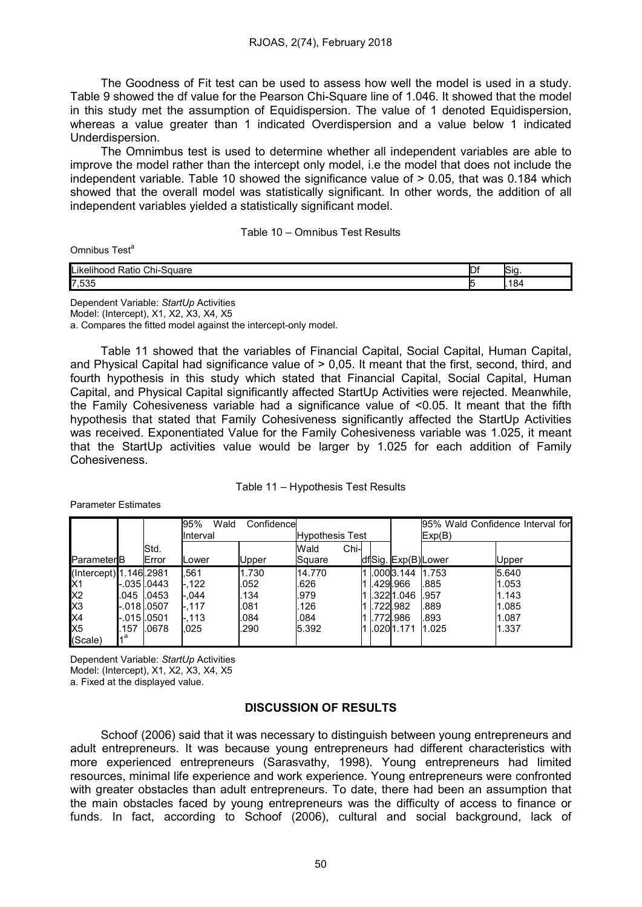The Goodness of Fit test can be used to assess how well the model is used in a study. Table 9 showed the df value for the Pearson Chi-Square line of 1.046. It showed that the model in this study met the assumption of Equidispersion. The value of 1 denoted Equidispersion, whereas a value greater than 1 indicated Overdispersion and a value below 1 indicated Underdispersion.

The Omnimbus test is used to determine whether all independent variables are able to improve the model rather than the intercept only model, i.e the model that does not include the independent variable. Table 10 showed the significance value of > 0.05, that was 0.184 which showed that the overall model was statistically significant. In other words, the addition of all independent variables yielded a statistically significant model.

Table 10 – Omnibus Test Results

Omnibus Test<sup>a</sup>

| ll ik<br>$\overline{\phantom{0}}$<br>- - -<br>. .<br>10r<br>Jn⊦`<br>puudit | ◡ | יי |
|----------------------------------------------------------------------------|---|----|
| 7,535                                                                      |   | 84 |

Dependent Variable: StartUp Activities Model: (Intercept), X1, X2, X3, X4, X5

a. Compares the fitted model against the intercept-only model.

Table 11 showed that the variables of Financial Capital, Social Capital, Human Capital, and Physical Capital had significance value of  $> 0.05$ . It meant that the first, second, third, and fourth hypothesis in this study which stated that Financial Capital, Social Capital, Human Capital, and Physical Capital significantly affected StartUp Activities were rejected. Meanwhile, the Family Cohesiveness variable had a significance value of <0.05. It meant that the fifth hypothesis that stated that Family Cohesiveness significantly affected the StartUp Activities was received. Exponentiated Value for the Family Cohesiveness variable was 1.025, it meant that the StartUp activities value would be larger by 1.025 for each addition of Family Cohesiveness.

| Table 11 - Hypothesis Test Results |  |
|------------------------------------|--|
|------------------------------------|--|

|                        |                      |             | 95%<br>Wald  | Confidence             |               |  |  |                     | 95% Wald Confidence Interval for |       |
|------------------------|----------------------|-------------|--------------|------------------------|---------------|--|--|---------------------|----------------------------------|-------|
|                        |                      |             | IInterval    | <b>Hypothesis Test</b> |               |  |  | Exp(B)              |                                  |       |
|                        |                      | Std.        |              |                        | Chi-l<br>Wald |  |  |                     |                                  |       |
| Parameter <sup>B</sup> |                      | Error       | Lower        | Upper                  | Square        |  |  | dfSig. Exp(B) Lower |                                  | Upper |
| (Intercept) 1.146.2981 |                      |             | .561         | 1.730                  | 14.770        |  |  | .0003.144           | 1.753                            | 5.640 |
| Ń1                     | -.0351.0443          |             | -.122        | .052                   | .626          |  |  | .429.966            | .885                             | 1.053 |
| X <sub>2</sub>         |                      | .045 1.0453 | -.044        | .134                   | .979          |  |  | .3221.046           | .957                             | 1.143 |
| X <sub>3</sub>         | -.0181.0507          |             | <b>L.117</b> | .081                   | 126           |  |  | .722.982            | .889                             | 1.085 |
| X4                     | -.015 <b>I</b> .0501 |             | <b>L.113</b> | .084                   | .084          |  |  | .772.986            | .893                             | 1.087 |
| X <sub>5</sub>         | 157                  | .0678       | .025         | .290                   | 5.392         |  |  | .020l1.171          | 11.025                           | 1.337 |
| (Scale)                | ۹a                   |             |              |                        |               |  |  |                     |                                  |       |

Parameter Estimates

Dependent Variable: StartUp Activities Model: (Intercept), X1, X2, X3, X4, X5 a. Fixed at the displayed value.

# DISCUSSION OF RESULTS

Schoof (2006) said that it was necessary to distinguish between young entrepreneurs and adult entrepreneurs. It was because young entrepreneurs had different characteristics with more experienced entrepreneurs (Sarasvathy, 1998). Young entrepreneurs had limited resources, minimal life experience and work experience. Young entrepreneurs were confronted with greater obstacles than adult entrepreneurs. To date, there had been an assumption that the main obstacles faced by young entrepreneurs was the difficulty of access to finance or funds. In fact, according to Schoof (2006), cultural and social background, lack of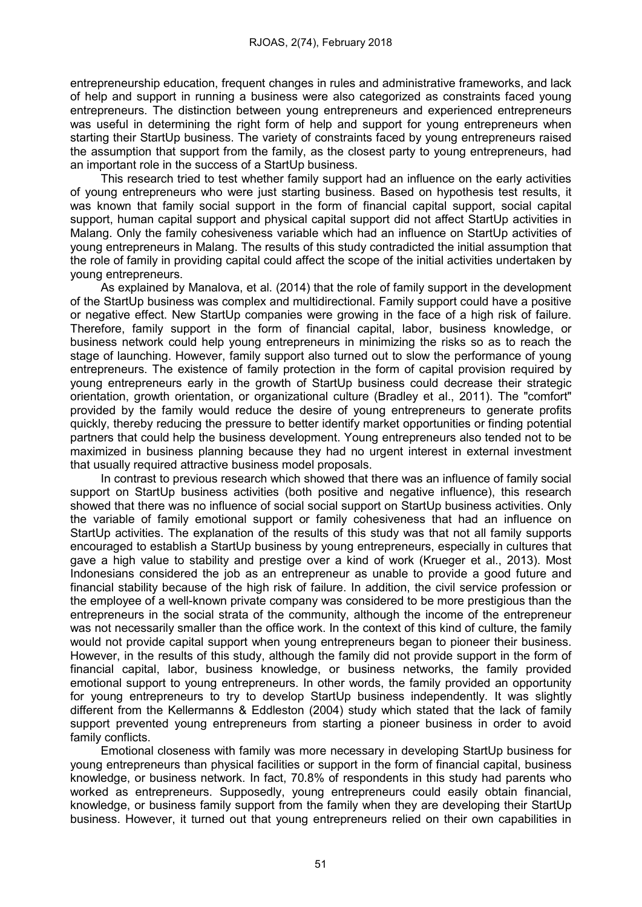entrepreneurship education, frequent changes in rules and administrative frameworks, and lack of help and support in running a business were also categorized as constraints faced young entrepreneurs. The distinction between young entrepreneurs and experienced entrepreneurs was useful in determining the right form of help and support for young entrepreneurs when starting their StartUp business. The variety of constraints faced by young entrepreneurs raised the assumption that support from the family, as the closest party to young entrepreneurs, had an important role in the success of a StartUp business.

This research tried to test whether family support had an influence on the early activities of young entrepreneurs who were just starting business. Based on hypothesis test results, it was known that family social support in the form of financial capital support, social capital support, human capital support and physical capital support did not affect StartUp activities in Malang. Only the family cohesiveness variable which had an influence on StartUp activities of young entrepreneurs in Malang. The results of this study contradicted the initial assumption that the role of family in providing capital could affect the scope of the initial activities undertaken by young entrepreneurs.

As explained by Manalova, et al. (2014) that the role of family support in the development of the StartUp business was complex and multidirectional. Family support could have a positive or negative effect. New StartUp companies were growing in the face of a high risk of failure. Therefore, family support in the form of financial capital, labor, business knowledge, or business network could help young entrepreneurs in minimizing the risks so as to reach the stage of launching. However, family support also turned out to slow the performance of young entrepreneurs. The existence of family protection in the form of capital provision required by young entrepreneurs early in the growth of StartUp business could decrease their strategic orientation, growth orientation, or organizational culture (Bradley et al., 2011). The "comfort" provided by the family would reduce the desire of young entrepreneurs to generate profits quickly, thereby reducing the pressure to better identify market opportunities or finding potential partners that could help the business development. Young entrepreneurs also tended not to be maximized in business planning because they had no urgent interest in external investment that usually required attractive business model proposals.

In contrast to previous research which showed that there was an influence of family social support on StartUp business activities (both positive and negative influence), this research showed that there was no influence of social social support on StartUp business activities. Only the variable of family emotional support or family cohesiveness that had an influence on StartUp activities. The explanation of the results of this study was that not all family supports encouraged to establish a StartUp business by young entrepreneurs, especially in cultures that gave a high value to stability and prestige over a kind of work (Krueger et al., 2013). Most Indonesians considered the job as an entrepreneur as unable to provide a good future and financial stability because of the high risk of failure. In addition, the civil service profession or the employee of a well-known private company was considered to be more prestigious than the entrepreneurs in the social strata of the community, although the income of the entrepreneur was not necessarily smaller than the office work. In the context of this kind of culture, the family would not provide capital support when young entrepreneurs began to pioneer their business. However, in the results of this study, although the family did not provide support in the form of financial capital, labor, business knowledge, or business networks, the family provided emotional support to young entrepreneurs. In other words, the family provided an opportunity for young entrepreneurs to try to develop StartUp business independently. It was slightly different from the Kellermanns & Eddleston (2004) study which stated that the lack of family support prevented young entrepreneurs from starting a pioneer business in order to avoid family conflicts.

Emotional closeness with family was more necessary in developing StartUp business for young entrepreneurs than physical facilities or support in the form of financial capital, business knowledge, or business network. In fact, 70.8% of respondents in this study had parents who worked as entrepreneurs. Supposedly, young entrepreneurs could easily obtain financial, knowledge, or business family support from the family when they are developing their StartUp business. However, it turned out that young entrepreneurs relied on their own capabilities in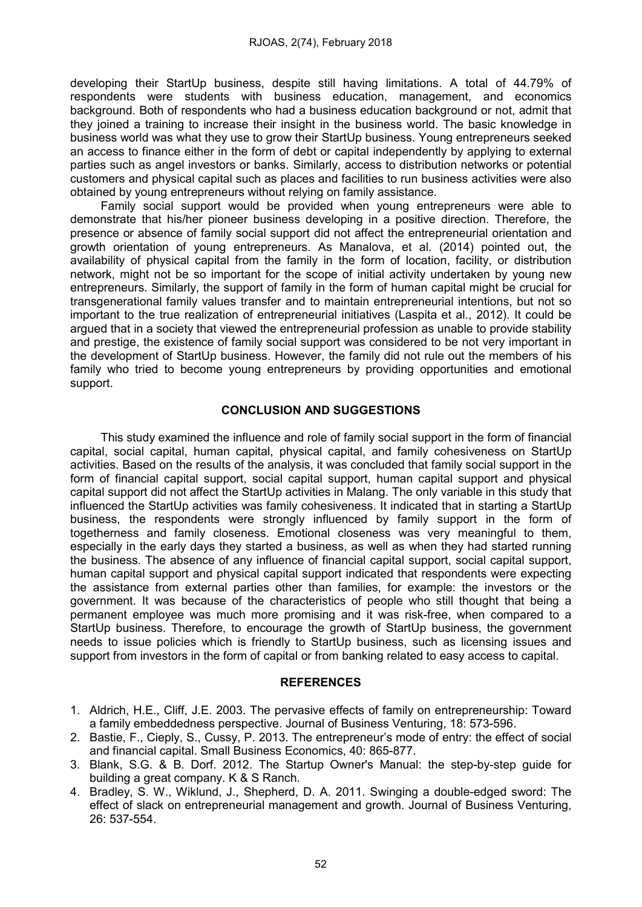developing their StartUp business, despite still having limitations. A total of 44.79% of respondents were students with business education, management, and economics background. Both of respondents who had a business education background or not, admit that they joined a training to increase their insight in the business world. The basic knowledge in business world was what they use to grow their StartUp business. Young entrepreneurs seeked an access to finance either in the form of debt or capital independently by applying to external parties such as angel investors or banks. Similarly, access to distribution networks or potential customers and physical capital such as places and facilities to run business activities were also obtained by young entrepreneurs without relying on family assistance.

Family social support would be provided when young entrepreneurs were able to demonstrate that his/her pioneer business developing in a positive direction. Therefore, the presence or absence of family social support did not affect the entrepreneurial orientation and growth orientation of young entrepreneurs. As Manalova, et al. (2014) pointed out, the availability of physical capital from the family in the form of location, facility, or distribution network, might not be so important for the scope of initial activity undertaken by young new entrepreneurs. Similarly, the support of family in the form of human capital might be crucial for transgenerational family values transfer and to maintain entrepreneurial intentions, but not so important to the true realization of entrepreneurial initiatives (Laspita et al., 2012). It could be argued that in a society that viewed the entrepreneurial profession as unable to provide stability and prestige, the existence of family social support was considered to be not very important in the development of StartUp business. However, the family did not rule out the members of his family who tried to become young entrepreneurs by providing opportunities and emotional support.

# CONCLUSION AND SUGGESTIONS

This study examined the influence and role of family social support in the form of financial capital, social capital, human capital, physical capital, and family cohesiveness on StartUp activities. Based on the results of the analysis, it was concluded that family social support in the form of financial capital support, social capital support, human capital support and physical capital support did not affect the StartUp activities in Malang. The only variable in this study that influenced the StartUp activities was family cohesiveness. It indicated that in starting a StartUp business, the respondents were strongly influenced by family support in the form of togetherness and family closeness. Emotional closeness was very meaningful to them, especially in the early days they started a business, as well as when they had started running the business. The absence of any influence of financial capital support, social capital support, human capital support and physical capital support indicated that respondents were expecting the assistance from external parties other than families, for example: the investors or the government. It was because of the characteristics of people who still thought that being a permanent employee was much more promising and it was risk-free, when compared to a StartUp business. Therefore, to encourage the growth of StartUp business, the government needs to issue policies which is friendly to StartUp business, such as licensing issues and support from investors in the form of capital or from banking related to easy access to capital.

# **REFERENCES**

- 1. Aldrich, H.E., Cliff, J.E. 2003. The pervasive effects of family on entrepreneurship: Toward a family embeddedness perspective. Journal of Business Venturing, 18: 573-596.
- 2. Bastie, F., Cieply, S., Cussy, P. 2013. The entrepreneur's mode of entry: the effect of social and financial capital. Small Business Economics, 40: 865-877.
- 3. Blank, S.G. & B. Dorf. 2012. The Startup Owner's Manual: the step-by-step guide for building a great company. K & S Ranch.
- 4. Bradley, S. W., Wiklund, J., Shepherd, D. A. 2011. Swinging a double-edged sword: The effect of slack on entrepreneurial management and growth. Journal of Business Venturing, 26: 537-554.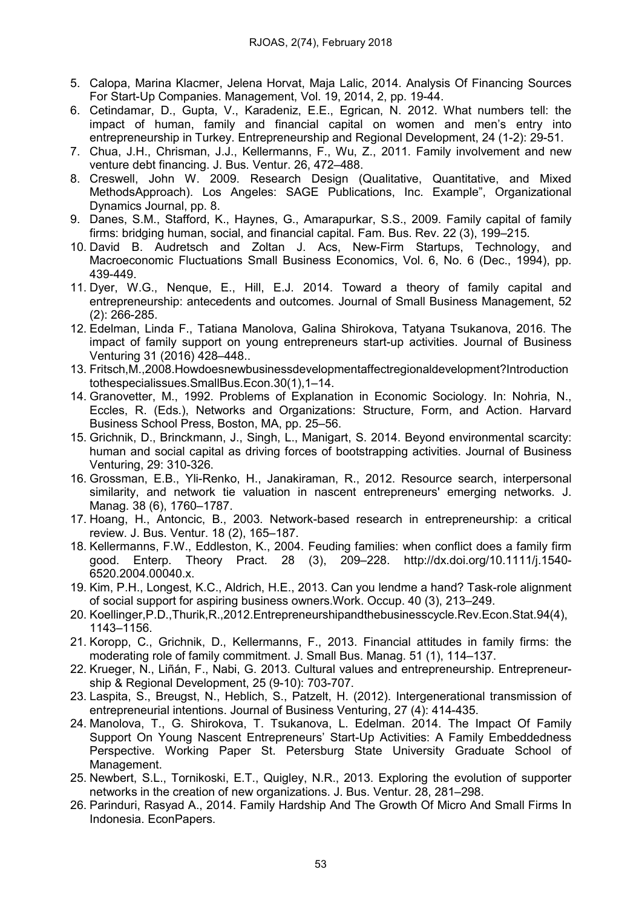- 5. Calopa, Marina Klacmer, Jelena Horvat, Maja Lalic, 2014. Analysis Of Financing Sources For Start-Up Companies. Management, Vol. 19, 2014, 2, pp. 19-44.
- 6. Cetindamar, D., Gupta, V., Karadeniz, E.E., Egrican, N. 2012. What numbers tell: the impact of human, family and financial capital on women and men's entry into entrepreneurship in Turkey. Entrepreneurship and Regional Development, 24 (1-2): 29-51.
- 7. Chua, J.H., Chrisman, J.J., Kellermanns, F., Wu, Z., 2011. Family involvement and new venture debt financing. J. Bus. Ventur. 26, 472–488.
- 8. Creswell, John W. 2009. Research Design (Qualitative, Quantitative, and Mixed MethodsApproach). Los Angeles: SAGE Publications, Inc. Example", Organizational Dynamics Journal, pp. 8.
- 9. Danes, S.M., Stafford, K., Haynes, G., Amarapurkar, S.S., 2009. Family capital of family firms: bridging human, social, and financial capital. Fam. Bus. Rev. 22 (3), 199–215.
- 10. David B. Audretsch and Zoltan J. Acs, New-Firm Startups, Technology, and Macroeconomic Fluctuations Small Business Economics, Vol. 6, No. 6 (Dec., 1994), pp. 439-449.
- 11. Dyer, W.G., Nenque, E., Hill, E.J. 2014. Toward a theory of family capital and entrepreneurship: antecedents and outcomes. Journal of Small Business Management, 52 (2): 266-285.
- 12. Edelman, Linda F., Tatiana Manolova, Galina Shirokova, Tatyana Tsukanova, 2016. The impact of family support on young entrepreneurs start-up activities. Journal of Business Venturing 31 (2016) 428–448..
- 13. Fritsch,M.,2008.Howdoesnewbusinessdevelopmentaffectregionaldevelopment?Introduction tothespecialissues.SmallBus.Econ.30(1),1–14.
- 14. Granovetter, M., 1992. Problems of Explanation in Economic Sociology. In: Nohria, N., Eccles, R. (Eds.), Networks and Organizations: Structure, Form, and Action. Harvard Business School Press, Boston, MA, pp. 25–56.
- 15. Grichnik, D., Brinckmann, J., Singh, L., Manigart, S. 2014. Beyond environmental scarcity: human and social capital as driving forces of bootstrapping activities. Journal of Business Venturing, 29: 310-326.
- 16. Grossman, E.B., Yli-Renko, H., Janakiraman, R., 2012. Resource search, interpersonal similarity, and network tie valuation in nascent entrepreneurs' emerging networks. J. Manag. 38 (6), 1760–1787.
- 17. Hoang, H., Antoncic, B., 2003. Network-based research in entrepreneurship: a critical review. J. Bus. Ventur. 18 (2), 165–187.
- 18. Kellermanns, F.W., Eddleston, K., 2004. Feuding families: when conflict does a family firm good. Enterp. Theory Pract. 28 (3), 209–228. http://dx.doi.org/10.1111/j.1540- 6520.2004.00040.x.
- 19. Kim, P.H., Longest, K.C., Aldrich, H.E., 2013. Can you lendme a hand? Task-role alignment of social support for aspiring business owners.Work. Occup. 40 (3), 213–249.
- 20. Koellinger,P.D.,Thurik,R.,2012.Entrepreneurshipandthebusinesscycle.Rev.Econ.Stat.94(4), 1143–1156.
- 21. Koropp, C., Grichnik, D., Kellermanns, F., 2013. Financial attitudes in family firms: the moderating role of family commitment. J. Small Bus. Manag. 51 (1), 114–137.
- 22. Krueger, N., Liñán, F., Nabi, G. 2013. Cultural values and entrepreneurship. Entrepreneurship & Regional Development, 25 (9-10): 703-707.
- 23. Laspita, S., Breugst, N., Heblich, S., Patzelt, H. (2012). Intergenerational transmission of entrepreneurial intentions. Journal of Business Venturing, 27 (4): 414-435.
- 24. Manolova, T., G. Shirokova, T. Tsukanova, L. Edelman. 2014. The Impact Of Family Support On Young Nascent Entrepreneurs' Start-Up Activities: A Family Embeddedness Perspective. Working Paper St. Petersburg State University Graduate School of Management.
- 25. Newbert, S.L., Tornikoski, E.T., Quigley, N.R., 2013. Exploring the evolution of supporter networks in the creation of new organizations. J. Bus. Ventur. 28, 281–298.
- 26. Parinduri, Rasyad A., 2014. Family Hardship And The Growth Of Micro And Small Firms In Indonesia. EconPapers.